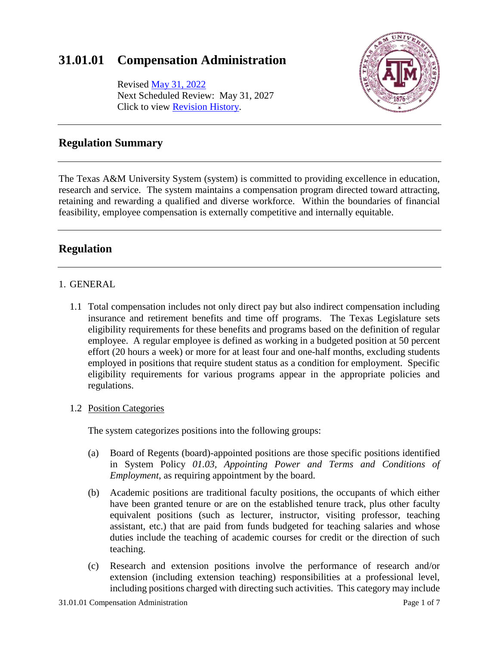# **31.01.01 Compensation Administration**

Revised May [31, 2022](http://assets.system.tamus.edu/files/policy/pdf/annotated/31-01-01/31-01-01-ANN-161115.pdf) Next Scheduled Review: May 31, 2027 Click to view [Revision History.](http://assets.system.tamus.edu/files/policy/pdf/REVISIONS/31-01-01-Versions.pdf)



### **Regulation Summary**

The Texas A&M University System (system) is committed to providing excellence in education, research and service. The system maintains a compensation program directed toward attracting, retaining and rewarding a qualified and diverse workforce. Within the boundaries of financial feasibility, employee compensation is externally competitive and internally equitable.

## **Regulation**

#### 1. GENERAL

1.1 Total compensation includes not only direct pay but also indirect compensation including insurance and retirement benefits and time off programs. The Texas Legislature sets eligibility requirements for these benefits and programs based on the definition of regular employee. A regular employee is defined as working in a budgeted position at 50 percent effort (20 hours a week) or more for at least four and one-half months, excluding students employed in positions that require student status as a condition for employment. Specific eligibility requirements for various programs appear in the appropriate policies and regulations.

### 1.2 Position Categories

The system categorizes positions into the following groups:

- (a) Board of Regents (board)-appointed positions are those specific positions identified in System Policy *01.03, Appointing Power and Terms and Conditions of Employment*, as requiring appointment by the board.
- (b) Academic positions are traditional faculty positions, the occupants of which either have been granted tenure or are on the established tenure track, plus other faculty equivalent positions (such as lecturer, instructor, visiting professor, teaching assistant, etc.) that are paid from funds budgeted for teaching salaries and whose duties include the teaching of academic courses for credit or the direction of such teaching.
- (c) Research and extension positions involve the performance of research and/or extension (including extension teaching) responsibilities at a professional level, including positions charged with directing such activities. This category may include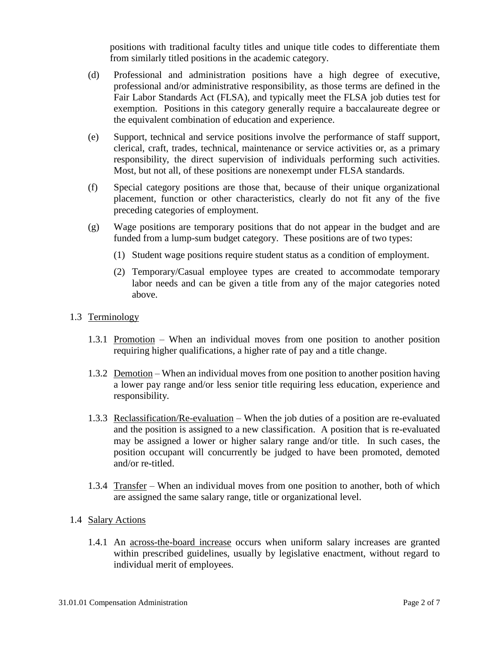positions with traditional faculty titles and unique title codes to differentiate them from similarly titled positions in the academic category.

- (d) Professional and administration positions have a high degree of executive, professional and/or administrative responsibility, as those terms are defined in the Fair Labor Standards Act (FLSA), and typically meet the FLSA job duties test for exemption. Positions in this category generally require a baccalaureate degree or the equivalent combination of education and experience.
- (e) Support, technical and service positions involve the performance of staff support, clerical, craft, trades, technical, maintenance or service activities or, as a primary responsibility, the direct supervision of individuals performing such activities. Most, but not all, of these positions are nonexempt under FLSA standards.
- (f) Special category positions are those that, because of their unique organizational placement, function or other characteristics, clearly do not fit any of the five preceding categories of employment.
- (g) Wage positions are temporary positions that do not appear in the budget and are funded from a lump-sum budget category. These positions are of two types:
	- (1) Student wage positions require student status as a condition of employment.
	- (2) Temporary/Casual employee types are created to accommodate temporary labor needs and can be given a title from any of the major categories noted above.
- 1.3 Terminology
	- 1.3.1 Promotion When an individual moves from one position to another position requiring higher qualifications, a higher rate of pay and a title change.
	- 1.3.2 Demotion When an individual moves from one position to another position having a lower pay range and/or less senior title requiring less education, experience and responsibility.
	- 1.3.3 Reclassification/Re-evaluation When the job duties of a position are re-evaluated and the position is assigned to a new classification. A position that is re-evaluated may be assigned a lower or higher salary range and/or title. In such cases, the position occupant will concurrently be judged to have been promoted, demoted and/or re-titled.
	- 1.3.4 Transfer When an individual moves from one position to another, both of which are assigned the same salary range, title or organizational level.
- 1.4 Salary Actions
	- 1.4.1 An across-the-board increase occurs when uniform salary increases are granted within prescribed guidelines, usually by legislative enactment, without regard to individual merit of employees.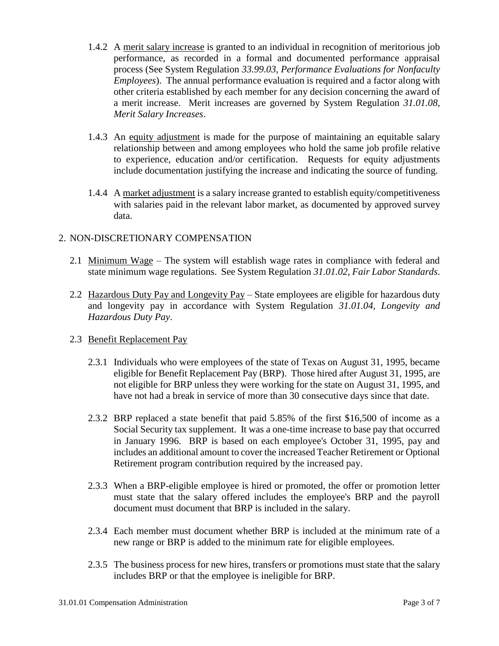- 1.4.2 A merit salary increase is granted to an individual in recognition of meritorious job performance, as recorded in a formal and documented performance appraisal process (See System Regulation *33.99.03*, *Performance Evaluations for Nonfaculty Employees*). The annual performance evaluation is required and a factor along with other criteria established by each member for any decision concerning the award of a merit increase. Merit increases are governed by System Regulation *31.01.08, Merit Salary Increases*.
- 1.4.3 An equity adjustment is made for the purpose of maintaining an equitable salary relationship between and among employees who hold the same job profile relative to experience, education and/or certification. Requests for equity adjustments include documentation justifying the increase and indicating the source of funding.
- 1.4.4 A market adjustment is a salary increase granted to establish equity/competitiveness with salaries paid in the relevant labor market, as documented by approved survey data.

#### 2. NON-DISCRETIONARY COMPENSATION

- 2.1 Minimum Wage The system will establish wage rates in compliance with federal and state minimum wage regulations. See System Regulation *31.01.02, Fair Labor Standards*.
- 2.2 Hazardous Duty Pay and Longevity Pay State employees are eligible for hazardous duty and longevity pay in accordance with System Regulation *31.01.04, Longevity and Hazardous Duty Pay*.

#### 2.3 Benefit Replacement Pay

- 2.3.1 Individuals who were employees of the state of Texas on August 31, 1995, became eligible for Benefit Replacement Pay (BRP). Those hired after August 31, 1995, are not eligible for BRP unless they were working for the state on August 31, 1995, and have not had a break in service of more than 30 consecutive days since that date.
- 2.3.2 BRP replaced a state benefit that paid 5.85% of the first \$16,500 of income as a Social Security tax supplement. It was a one-time increase to base pay that occurred in January 1996. BRP is based on each employee's October 31, 1995, pay and includes an additional amount to cover the increased Teacher Retirement or Optional Retirement program contribution required by the increased pay.
- 2.3.3 When a BRP-eligible employee is hired or promoted, the offer or promotion letter must state that the salary offered includes the employee's BRP and the payroll document must document that BRP is included in the salary.
- 2.3.4 Each member must document whether BRP is included at the minimum rate of a new range or BRP is added to the minimum rate for eligible employees.
- 2.3.5 The business process for new hires, transfers or promotions must state that the salary includes BRP or that the employee is ineligible for BRP.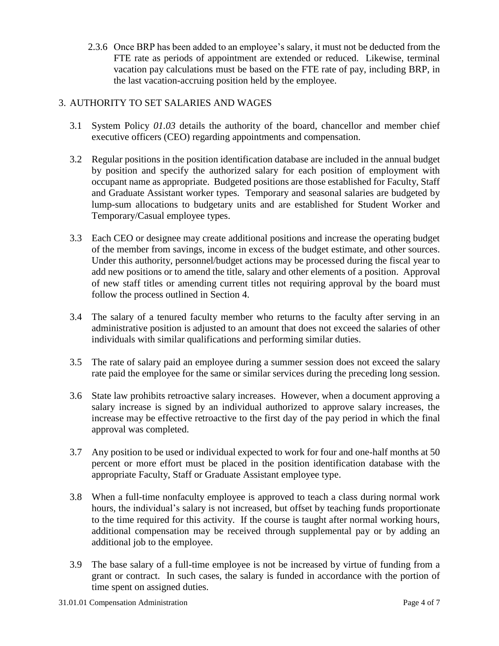2.3.6 Once BRP has been added to an employee's salary, it must not be deducted from the FTE rate as periods of appointment are extended or reduced. Likewise, terminal vacation pay calculations must be based on the FTE rate of pay, including BRP, in the last vacation-accruing position held by the employee.

### 3. AUTHORITY TO SET SALARIES AND WAGES

- 3.1 System Policy *01.03* details the authority of the board, chancellor and member chief executive officers (CEO) regarding appointments and compensation.
- 3.2 Regular positions in the position identification database are included in the annual budget by position and specify the authorized salary for each position of employment with occupant name as appropriate. Budgeted positions are those established for Faculty, Staff and Graduate Assistant worker types. Temporary and seasonal salaries are budgeted by lump-sum allocations to budgetary units and are established for Student Worker and Temporary/Casual employee types.
- 3.3 Each CEO or designee may create additional positions and increase the operating budget of the member from savings, income in excess of the budget estimate, and other sources. Under this authority, personnel/budget actions may be processed during the fiscal year to add new positions or to amend the title, salary and other elements of a position. Approval of new staff titles or amending current titles not requiring approval by the board must follow the process outlined in Section 4.
- 3.4 The salary of a tenured faculty member who returns to the faculty after serving in an administrative position is adjusted to an amount that does not exceed the salaries of other individuals with similar qualifications and performing similar duties.
- 3.5 The rate of salary paid an employee during a summer session does not exceed the salary rate paid the employee for the same or similar services during the preceding long session.
- 3.6 State law prohibits retroactive salary increases. However, when a document approving a salary increase is signed by an individual authorized to approve salary increases, the increase may be effective retroactive to the first day of the pay period in which the final approval was completed.
- 3.7 Any position to be used or individual expected to work for four and one-half months at 50 percent or more effort must be placed in the position identification database with the appropriate Faculty, Staff or Graduate Assistant employee type.
- 3.8 When a full-time nonfaculty employee is approved to teach a class during normal work hours, the individual's salary is not increased, but offset by teaching funds proportionate to the time required for this activity. If the course is taught after normal working hours, additional compensation may be received through supplemental pay or by adding an additional job to the employee.
- 3.9 The base salary of a full-time employee is not be increased by virtue of funding from a grant or contract. In such cases, the salary is funded in accordance with the portion of time spent on assigned duties.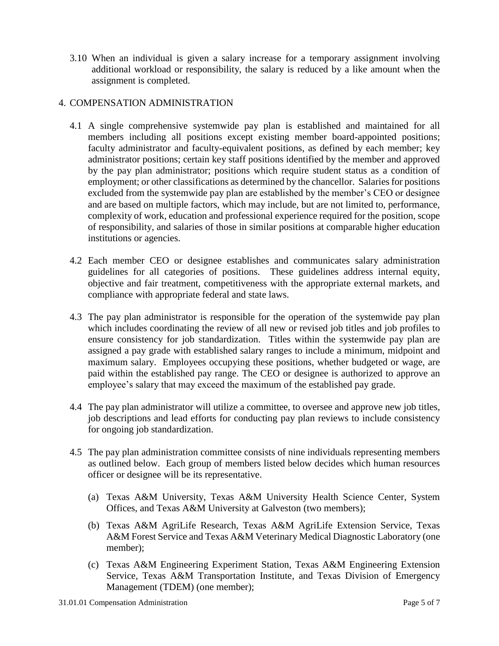3.10 When an individual is given a salary increase for a temporary assignment involving additional workload or responsibility, the salary is reduced by a like amount when the assignment is completed.

#### 4. COMPENSATION ADMINISTRATION

- 4.1 A single comprehensive systemwide pay plan is established and maintained for all members including all positions except existing member board-appointed positions; faculty administrator and faculty-equivalent positions, as defined by each member; key administrator positions; certain key staff positions identified by the member and approved by the pay plan administrator; positions which require student status as a condition of employment; or other classifications as determined by the chancellor. Salaries for positions excluded from the systemwide pay plan are established by the member's CEO or designee and are based on multiple factors, which may include, but are not limited to, performance, complexity of work, education and professional experience required for the position, scope of responsibility, and salaries of those in similar positions at comparable higher education institutions or agencies.
- 4.2 Each member CEO or designee establishes and communicates salary administration guidelines for all categories of positions. These guidelines address internal equity, objective and fair treatment, competitiveness with the appropriate external markets, and compliance with appropriate federal and state laws.
- 4.3 The pay plan administrator is responsible for the operation of the systemwide pay plan which includes coordinating the review of all new or revised job titles and job profiles to ensure consistency for job standardization. Titles within the systemwide pay plan are assigned a pay grade with established salary ranges to include a minimum, midpoint and maximum salary. Employees occupying these positions, whether budgeted or wage, are paid within the established pay range. The CEO or designee is authorized to approve an employee's salary that may exceed the maximum of the established pay grade.
- 4.4 The pay plan administrator will utilize a committee, to oversee and approve new job titles, job descriptions and lead efforts for conducting pay plan reviews to include consistency for ongoing job standardization.
- 4.5 The pay plan administration committee consists of nine individuals representing members as outlined below. Each group of members listed below decides which human resources officer or designee will be its representative.
	- (a) Texas A&M University, Texas A&M University Health Science Center, System Offices, and Texas A&M University at Galveston (two members);
	- (b) Texas A&M AgriLife Research, Texas A&M AgriLife Extension Service, Texas A&M Forest Service and Texas A&M Veterinary Medical Diagnostic Laboratory (one member);
	- (c) Texas A&M Engineering Experiment Station, Texas A&M Engineering Extension Service, Texas A&M Transportation Institute, and Texas Division of Emergency Management (TDEM) (one member);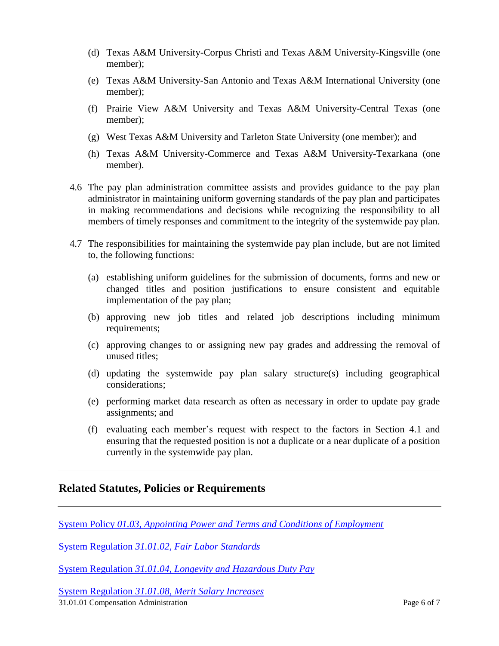- (d) Texas A&M University-Corpus Christi and Texas A&M University-Kingsville (one member);
- (e) Texas A&M University-San Antonio and Texas A&M International University (one member);
- (f) Prairie View A&M University and Texas A&M University-Central Texas (one member);
- (g) West Texas A&M University and Tarleton State University (one member); and
- (h) Texas A&M University-Commerce and Texas A&M University-Texarkana (one member).
- 4.6 The pay plan administration committee assists and provides guidance to the pay plan administrator in maintaining uniform governing standards of the pay plan and participates in making recommendations and decisions while recognizing the responsibility to all members of timely responses and commitment to the integrity of the systemwide pay plan.
- 4.7 The responsibilities for maintaining the systemwide pay plan include, but are not limited to, the following functions:
	- (a) establishing uniform guidelines for the submission of documents, forms and new or changed titles and position justifications to ensure consistent and equitable implementation of the pay plan;
	- (b) approving new job titles and related job descriptions including minimum requirements;
	- (c) approving changes to or assigning new pay grades and addressing the removal of unused titles;
	- (d) updating the systemwide pay plan salary structure(s) including geographical considerations;
	- (e) performing market data research as often as necessary in order to update pay grade assignments; and
	- (f) evaluating each member's request with respect to the factors in Section 4.1 and ensuring that the requested position is not a duplicate or a near duplicate of a position currently in the systemwide pay plan.

### **Related Statutes, Policies or Requirements**

System Policy *[01.03, Appointing Power and Terms and Conditions of Employment](http://policies.tamus.edu/01-03.pdf)*

System Regulation *31.01.02, [Fair Labor Standards](http://policies.tamus.edu/31-01-02.pdf)*

System Regulation *31.01.04, [Longevity and Hazardous Duty Pay](http://policies.tamus.edu/31-01-04.pdf)*

31.01.01 Compensation Administration Page 6 of 7 System Regulation *31.01.08, [Merit Salary Increases](http://policies.tamus.edu/31-01-08.pdf)*